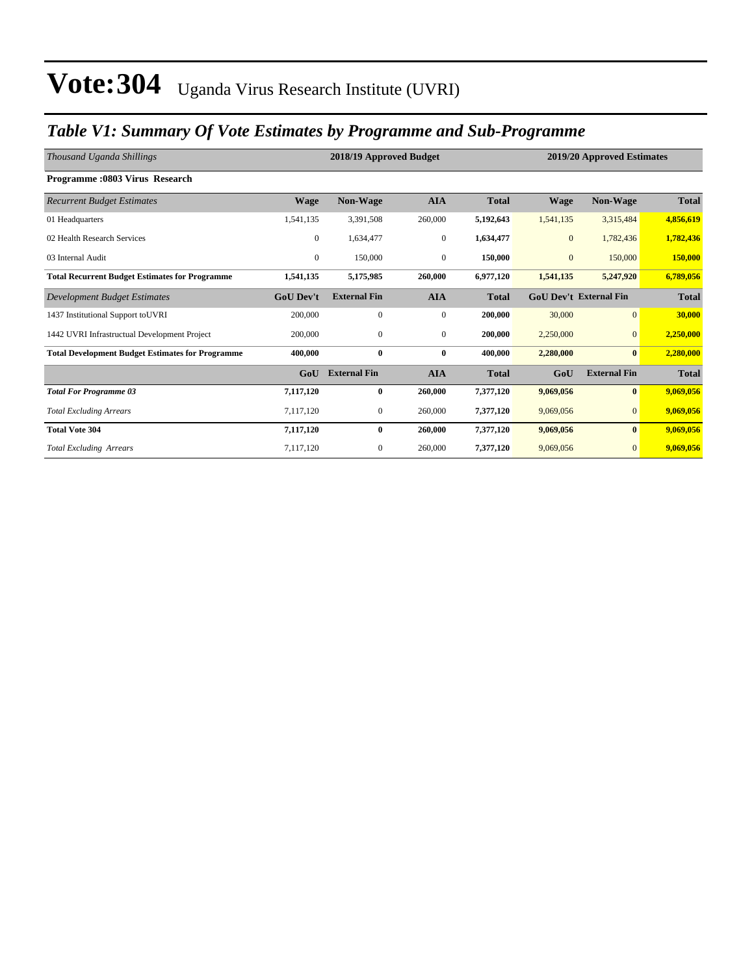### *Table V1: Summary Of Vote Estimates by Programme and Sub-Programme*

| Thousand Uganda Shillings                               |                  | 2018/19 Approved Budget<br>2019/20 Approved Estimates |                |              |              |                               |              |
|---------------------------------------------------------|------------------|-------------------------------------------------------|----------------|--------------|--------------|-------------------------------|--------------|
| Programme: 0803 Virus Research                          |                  |                                                       |                |              |              |                               |              |
| <b>Recurrent Budget Estimates</b>                       | <b>Wage</b>      | Non-Wage                                              | <b>AIA</b>     | <b>Total</b> | <b>Wage</b>  | Non-Wage                      | <b>Total</b> |
| 01 Headquarters                                         | 1,541,135        | 3,391,508                                             | 260,000        | 5,192,643    | 1,541,135    | 3,315,484                     | 4,856,619    |
| 02 Health Research Services                             | $\mathbf{0}$     | 1,634,477                                             | $\mathbf{0}$   | 1,634,477    | $\mathbf{0}$ | 1,782,436                     | 1,782,436    |
| 03 Internal Audit                                       | $\mathbf{0}$     | 150,000                                               | $\mathbf{0}$   | 150,000      | $\mathbf{0}$ | 150,000                       | 150,000      |
| <b>Total Recurrent Budget Estimates for Programme</b>   | 1,541,135        | 5,175,985                                             | 260,000        | 6,977,120    | 1,541,135    | 5,247,920                     | 6,789,056    |
| Development Budget Estimates                            | <b>GoU Dev't</b> | <b>External Fin</b>                                   | <b>AIA</b>     | <b>Total</b> |              | <b>GoU Dev't External Fin</b> | <b>Total</b> |
| 1437 Institutional Support to UVRI                      | 200,000          | $\mathbf{0}$                                          | $\overline{0}$ | 200,000      | 30,000       | $\overline{0}$                | 30,000       |
| 1442 UVRI Infrastructual Development Project            | 200,000          | $\mathbf{0}$                                          | $\mathbf{0}$   | 200,000      | 2,250,000    | $\mathbf{0}$                  | 2,250,000    |
| <b>Total Development Budget Estimates for Programme</b> | 400.000          | $\bf{0}$                                              | $\bf{0}$       | 400,000      | 2,280,000    | $\bf{0}$                      | 2,280,000    |
|                                                         | GoU              | <b>External Fin</b>                                   | <b>AIA</b>     | <b>Total</b> | GoU          | <b>External Fin</b>           | <b>Total</b> |
| <b>Total For Programme 03</b>                           | 7,117,120        | $\bf{0}$                                              | 260,000        | 7,377,120    | 9,069,056    | $\bf{0}$                      | 9,069,056    |
| <b>Total Excluding Arrears</b>                          | 7,117,120        | $\mathbf{0}$                                          | 260,000        | 7,377,120    | 9,069,056    | $\mathbf{0}$                  | 9,069,056    |
| <b>Total Vote 304</b>                                   | 7,117,120        | $\bf{0}$                                              | 260,000        | 7,377,120    | 9,069,056    | $\bf{0}$                      | 9,069,056    |
| <b>Total Excluding Arrears</b>                          | 7,117,120        | $\mathbf{0}$                                          | 260,000        | 7,377,120    | 9,069,056    | $\mathbf{0}$                  | 9,069,056    |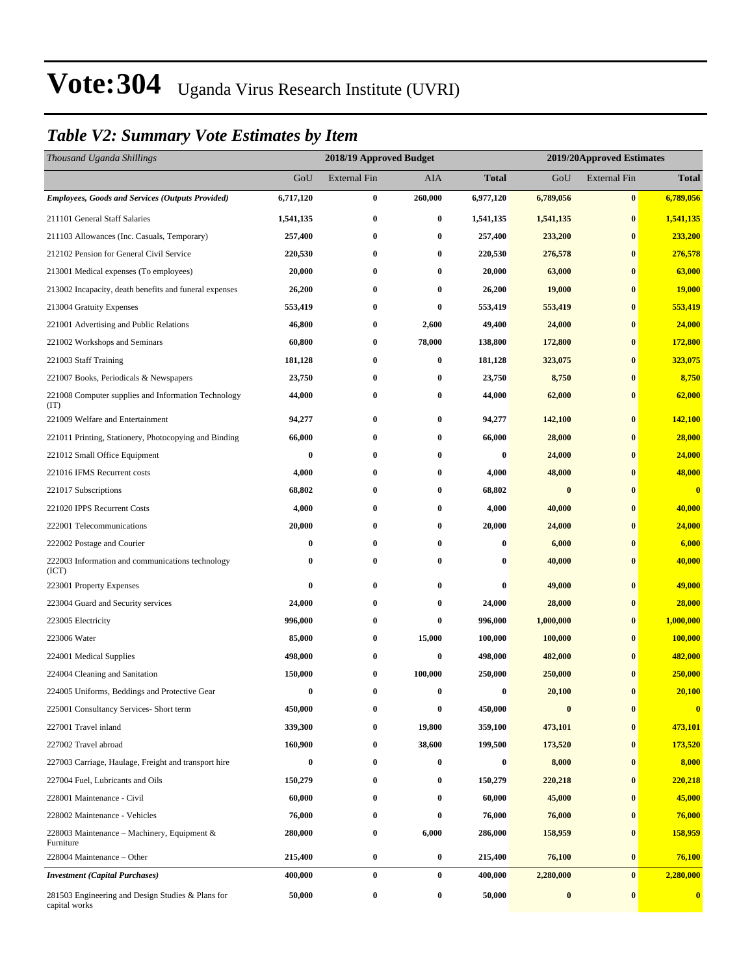### *Table V2: Summary Vote Estimates by Item*

| Thousand Uganda Shillings                                          |           | 2018/19 Approved Budget |          |              | 2019/20Approved Estimates |                     |               |
|--------------------------------------------------------------------|-----------|-------------------------|----------|--------------|---------------------------|---------------------|---------------|
|                                                                    | GoU       | <b>External Fin</b>     | AIA      | <b>Total</b> | GoU                       | <b>External Fin</b> | <b>Total</b>  |
| <b>Employees, Goods and Services (Outputs Provided)</b>            | 6,717,120 | $\bf{0}$                | 260,000  | 6,977,120    | 6,789,056                 | $\bf{0}$            | 6,789,056     |
| 211101 General Staff Salaries                                      | 1,541,135 | $\bf{0}$                | $\bf{0}$ | 1,541,135    | 1,541,135                 | $\bf{0}$            | 1,541,135     |
| 211103 Allowances (Inc. Casuals, Temporary)                        | 257,400   | $\bf{0}$                | $\bf{0}$ | 257,400      | 233,200                   | $\bf{0}$            | 233,200       |
| 212102 Pension for General Civil Service                           | 220,530   | $\bf{0}$                | $\bf{0}$ | 220,530      | 276,578                   | $\bf{0}$            | 276,578       |
| 213001 Medical expenses (To employees)                             | 20,000    | $\bf{0}$                | $\bf{0}$ | 20,000       | 63,000                    | $\bf{0}$            | 63,000        |
| 213002 Incapacity, death benefits and funeral expenses             | 26,200    | $\bf{0}$                | $\bf{0}$ | 26,200       | 19,000                    | $\bf{0}$            | <b>19,000</b> |
| 213004 Gratuity Expenses                                           | 553,419   | $\bf{0}$                | $\bf{0}$ | 553,419      | 553,419                   | $\bf{0}$            | 553,419       |
| 221001 Advertising and Public Relations                            | 46,800    | $\bf{0}$                | 2,600    | 49,400       | 24,000                    | $\bf{0}$            | 24,000        |
| 221002 Workshops and Seminars                                      | 60,800    | $\bf{0}$                | 78,000   | 138,800      | 172,800                   | $\bf{0}$            | 172,800       |
| 221003 Staff Training                                              | 181,128   | $\bf{0}$                | $\bf{0}$ | 181,128      | 323,075                   | $\bf{0}$            | 323,075       |
| 221007 Books, Periodicals & Newspapers                             | 23,750    | $\bf{0}$                | $\bf{0}$ | 23,750       | 8,750                     | $\bf{0}$            | 8,750         |
| 221008 Computer supplies and Information Technology<br>(TT)        | 44,000    | $\bf{0}$                | $\bf{0}$ | 44,000       | 62,000                    | $\bf{0}$            | 62,000        |
| 221009 Welfare and Entertainment                                   | 94,277    | $\bf{0}$                | $\bf{0}$ | 94,277       | 142,100                   | $\bf{0}$            | 142,100       |
| 221011 Printing, Stationery, Photocopying and Binding              | 66,000    | $\bf{0}$                | $\bf{0}$ | 66,000       | 28,000                    | $\bf{0}$            | 28,000        |
| 221012 Small Office Equipment                                      | $\bf{0}$  | $\bf{0}$                | 0        | $\bf{0}$     | 24,000                    | $\bf{0}$            | 24,000        |
| 221016 IFMS Recurrent costs                                        | 4,000     | $\bf{0}$                | $\bf{0}$ | 4,000        | 48,000                    | $\bf{0}$            | 48,000        |
| 221017 Subscriptions                                               | 68,802    | $\bf{0}$                | $\bf{0}$ | 68,802       | $\bf{0}$                  | $\bf{0}$            | $\bf{0}$      |
| 221020 IPPS Recurrent Costs                                        | 4,000     | $\bf{0}$                | $\bf{0}$ | 4,000        | 40,000                    | $\bf{0}$            | 40,000        |
| 222001 Telecommunications                                          | 20,000    | $\bf{0}$                | $\bf{0}$ | 20,000       | 24,000                    | $\bf{0}$            | 24,000        |
| 222002 Postage and Courier                                         | $\bf{0}$  | $\bf{0}$                | 0        | $\bf{0}$     | 6,000                     | $\bf{0}$            | 6,000         |
| 222003 Information and communications technology<br>(ICT)          | 0         | $\bf{0}$                | $\bf{0}$ | $\bf{0}$     | 40,000                    | $\bf{0}$            | 40,000        |
| 223001 Property Expenses                                           | 0         | $\bf{0}$                | $\bf{0}$ | $\bf{0}$     | 49,000                    | $\bf{0}$            | 49,000        |
| 223004 Guard and Security services                                 | 24,000    | $\bf{0}$                | $\bf{0}$ | 24,000       | 28,000                    | $\bf{0}$            | 28,000        |
| 223005 Electricity                                                 | 996,000   | $\bf{0}$                | $\bf{0}$ | 996,000      | 1,000,000                 | $\bf{0}$            | 1,000,000     |
| 223006 Water                                                       | 85,000    | $\boldsymbol{0}$        | 15,000   | 100,000      | 100,000                   | $\bf{0}$            | 100,000       |
| 224001 Medical Supplies                                            | 498,000   | $\bf{0}$                | $\bf{0}$ | 498,000      | 482,000                   | $\bf{0}$            | 482,000       |
| 224004 Cleaning and Sanitation                                     | 150,000   | $\bf{0}$                | 100,000  | 250,000      | 250,000                   | $\bf{0}$            | 250,000       |
| 224005 Uniforms, Beddings and Protective Gear                      | $\bf{0}$  | $\bf{0}$                | $\bf{0}$ | $\bf{0}$     | 20,100                    | $\bf{0}$            | 20,100        |
| 225001 Consultancy Services- Short term                            | 450,000   | $\bf{0}$                | $\bf{0}$ | 450,000      | $\bf{0}$                  | $\boldsymbol{0}$    | $\bf{0}$      |
| 227001 Travel inland                                               | 339,300   | $\boldsymbol{0}$        | 19,800   | 359,100      | 473,101                   | $\bf{0}$            | 473,101       |
| 227002 Travel abroad                                               | 160,900   | $\bf{0}$                | 38,600   | 199,500      | 173,520                   | $\boldsymbol{0}$    | 173,520       |
| 227003 Carriage, Haulage, Freight and transport hire               | 0         | 0                       | $\bf{0}$ | 0            | 8,000                     | $\bf{0}$            | 8,000         |
| 227004 Fuel, Lubricants and Oils                                   | 150,279   | $\bf{0}$                | $\bf{0}$ | 150,279      | 220,218                   | $\bf{0}$            | 220,218       |
| 228001 Maintenance - Civil                                         | 60,000    | 0                       | $\bf{0}$ | 60,000       | 45,000                    | $\bf{0}$            | 45,000        |
| 228002 Maintenance - Vehicles                                      | 76,000    | 0                       | $\bf{0}$ | 76,000       | 76,000                    | $\bf{0}$            | 76,000        |
| 228003 Maintenance - Machinery, Equipment &<br>Furniture           | 280,000   | $\bf{0}$                | 6,000    | 286,000      | 158,959                   | $\boldsymbol{0}$    | 158,959       |
| 228004 Maintenance – Other                                         | 215,400   | $\boldsymbol{0}$        | $\bf{0}$ | 215,400      | 76,100                    | $\bf{0}$            | 76,100        |
| <b>Investment</b> (Capital Purchases)                              | 400,000   | $\boldsymbol{0}$        | $\bf{0}$ | 400,000      | 2,280,000                 | $\bf{0}$            | 2,280,000     |
| 281503 Engineering and Design Studies & Plans for<br>capital works | 50,000    | $\bf{0}$                | $\bf{0}$ | 50,000       | $\boldsymbol{0}$          | $\bf{0}$            | $\bf{0}$      |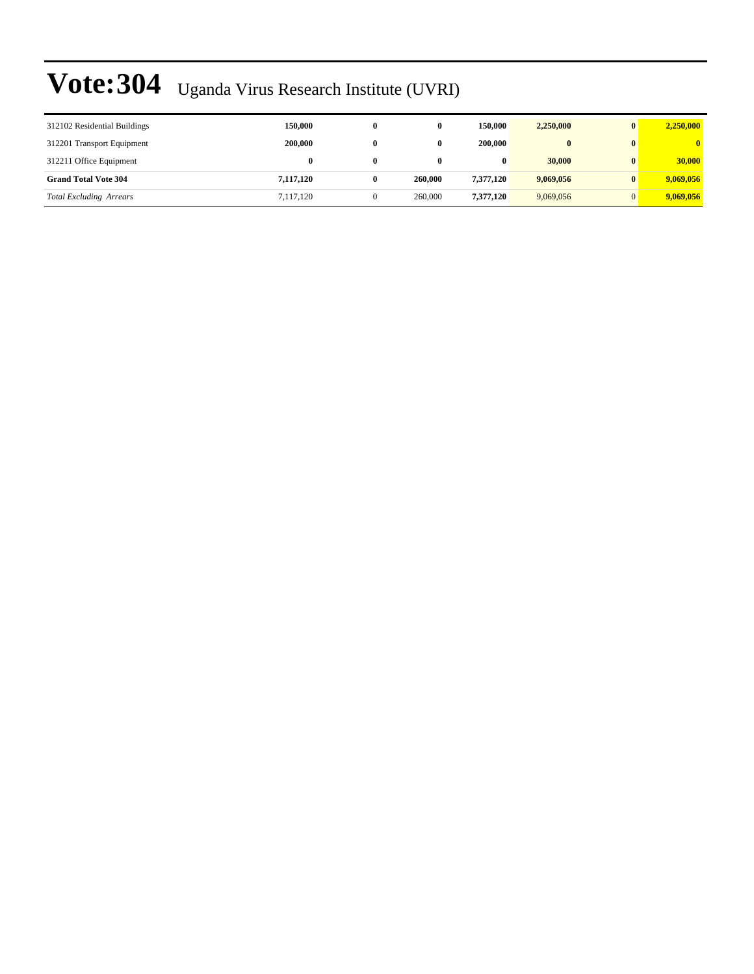| 312102 Residential Buildings   | 150,000   |   |         | 150,000   | 2.250,000 | 2,250,000    |
|--------------------------------|-----------|---|---------|-----------|-----------|--------------|
| 312201 Transport Equipment     | 200,000   | 0 |         | 200,000   | $\bf{0}$  | $\mathbf{0}$ |
| 312211 Office Equipment        | $\bf{0}$  |   |         | $\bf{0}$  | 30,000    | 30,000       |
| <b>Grand Total Vote 304</b>    | 7,117,120 |   | 260,000 | 7.377.120 | 9,069,056 | 9,069,056    |
| <b>Total Excluding Arrears</b> | 7,117,120 |   | 260,000 | 7.377.120 | 9,069,056 | 9,069,056    |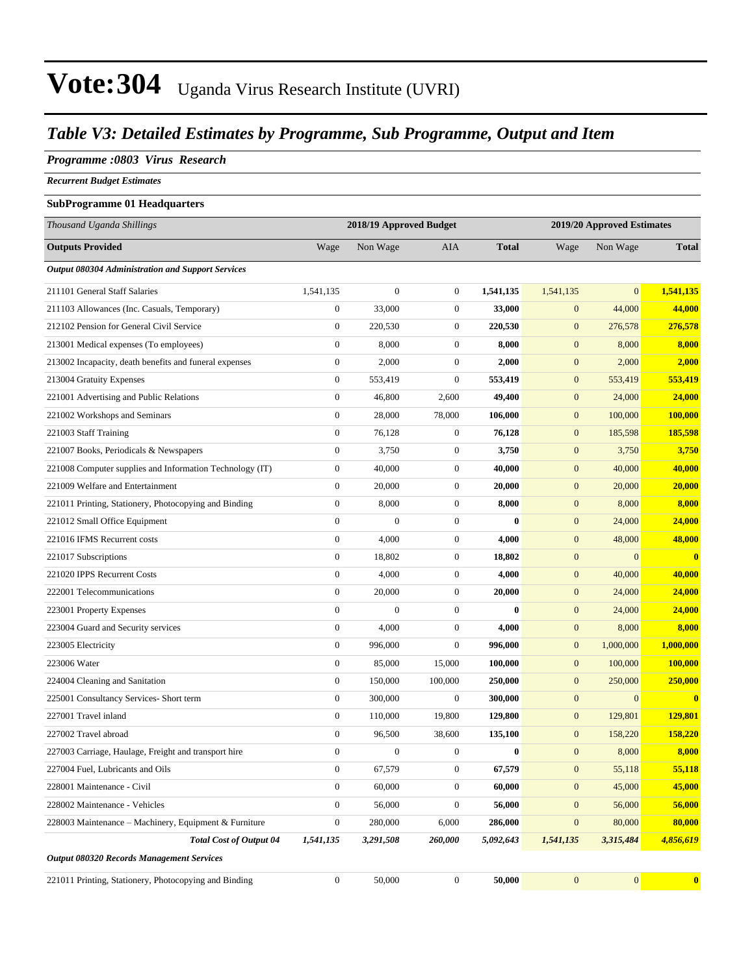### *Table V3: Detailed Estimates by Programme, Sub Programme, Output and Item*

#### *Programme :0803 Virus Research*

*Recurrent Budget Estimates*

#### **SubProgramme 01 Headquarters**

| Thousand Uganda Shillings                                |                  | 2018/19 Approved Budget |                  |              | 2019/20 Approved Estimates |                |               |
|----------------------------------------------------------|------------------|-------------------------|------------------|--------------|----------------------------|----------------|---------------|
| <b>Outputs Provided</b>                                  | Wage             | Non Wage                | <b>AIA</b>       | <b>Total</b> | Wage                       | Non Wage       | <b>Total</b>  |
| Output 080304 Administration and Support Services        |                  |                         |                  |              |                            |                |               |
| 211101 General Staff Salaries                            | 1,541,135        | $\boldsymbol{0}$        | $\boldsymbol{0}$ | 1,541,135    | 1,541,135                  | $\mathbf{0}$   | 1,541,135     |
| 211103 Allowances (Inc. Casuals, Temporary)              | $\boldsymbol{0}$ | 33,000                  | $\boldsymbol{0}$ | 33,000       | $\mathbf{0}$               | 44,000         | 44,000        |
| 212102 Pension for General Civil Service                 | $\boldsymbol{0}$ | 220,530                 | $\boldsymbol{0}$ | 220,530      | $\mathbf{0}$               | 276,578        | 276,578       |
| 213001 Medical expenses (To employees)                   | $\boldsymbol{0}$ | 8,000                   | $\boldsymbol{0}$ | 8,000        | $\mathbf{0}$               | 8,000          | 8,000         |
| 213002 Incapacity, death benefits and funeral expenses   | $\boldsymbol{0}$ | 2,000                   | $\boldsymbol{0}$ | 2,000        | $\mathbf{0}$               | 2,000          | 2,000         |
| 213004 Gratuity Expenses                                 | $\boldsymbol{0}$ | 553,419                 | $\boldsymbol{0}$ | 553,419      | $\boldsymbol{0}$           | 553,419        | 553,419       |
| 221001 Advertising and Public Relations                  | $\boldsymbol{0}$ | 46,800                  | 2,600            | 49,400       | $\mathbf{0}$               | 24,000         | 24,000        |
| 221002 Workshops and Seminars                            | $\boldsymbol{0}$ | 28,000                  | 78,000           | 106,000      | $\mathbf{0}$               | 100,000        | 100,000       |
| 221003 Staff Training                                    | $\boldsymbol{0}$ | 76,128                  | $\boldsymbol{0}$ | 76,128       | $\mathbf{0}$               | 185,598        | 185,598       |
| 221007 Books, Periodicals & Newspapers                   | $\boldsymbol{0}$ | 3,750                   | $\boldsymbol{0}$ | 3,750        | $\mathbf{0}$               | 3,750          | 3,750         |
| 221008 Computer supplies and Information Technology (IT) | $\boldsymbol{0}$ | 40,000                  | $\boldsymbol{0}$ | 40,000       | $\boldsymbol{0}$           | 40,000         | 40,000        |
| 221009 Welfare and Entertainment                         | $\boldsymbol{0}$ | 20,000                  | $\boldsymbol{0}$ | 20,000       | $\mathbf{0}$               | 20,000         | 20,000        |
| 221011 Printing, Stationery, Photocopying and Binding    | $\boldsymbol{0}$ | 8,000                   | $\boldsymbol{0}$ | 8,000        | $\mathbf{0}$               | 8,000          | 8,000         |
| 221012 Small Office Equipment                            | $\boldsymbol{0}$ | $\mathbf{0}$            | $\boldsymbol{0}$ | $\bf{0}$     | $\mathbf{0}$               | 24,000         | 24,000        |
| 221016 IFMS Recurrent costs                              | $\boldsymbol{0}$ | 4,000                   | $\boldsymbol{0}$ | 4,000        | $\mathbf{0}$               | 48,000         | 48,000        |
| 221017 Subscriptions                                     | $\boldsymbol{0}$ | 18,802                  | $\boldsymbol{0}$ | 18,802       | $\boldsymbol{0}$           | $\mathbf{0}$   | $\bf{0}$      |
| 221020 IPPS Recurrent Costs                              | $\boldsymbol{0}$ | 4,000                   | $\boldsymbol{0}$ | 4,000        | $\mathbf{0}$               | 40,000         | 40,000        |
| 222001 Telecommunications                                | $\boldsymbol{0}$ | 20,000                  | $\boldsymbol{0}$ | 20,000       | $\mathbf{0}$               | 24,000         | 24,000        |
| 223001 Property Expenses                                 | $\boldsymbol{0}$ | $\overline{0}$          | $\boldsymbol{0}$ | $\bf{0}$     | $\mathbf{0}$               | 24,000         | 24,000        |
| 223004 Guard and Security services                       | $\boldsymbol{0}$ | 4,000                   | $\boldsymbol{0}$ | 4,000        | $\mathbf{0}$               | 8,000          | 8,000         |
| 223005 Electricity                                       | $\boldsymbol{0}$ | 996,000                 | $\mathbf{0}$     | 996,000      | $\boldsymbol{0}$           | 1,000,000      | 1,000,000     |
| 223006 Water                                             | $\overline{0}$   | 85,000                  | 15,000           | 100,000      | $\mathbf{0}$               | 100,000        | 100,000       |
| 224004 Cleaning and Sanitation                           | $\boldsymbol{0}$ | 150,000                 | 100,000          | 250,000      | $\mathbf{0}$               | 250,000        | 250,000       |
| 225001 Consultancy Services- Short term                  | $\boldsymbol{0}$ | 300,000                 | $\boldsymbol{0}$ | 300,000      | $\mathbf{0}$               | $\overline{0}$ | $\bf{0}$      |
| 227001 Travel inland                                     | $\boldsymbol{0}$ | 110,000                 | 19,800           | 129,800      | $\mathbf{0}$               | 129,801        | 129,801       |
| 227002 Travel abroad                                     | $\boldsymbol{0}$ | 96,500                  | 38,600           | 135,100      | $\mathbf{0}$               | 158,220        | 158,220       |
| 227003 Carriage, Haulage, Freight and transport hire     | $\mathbf{0}$     | $\boldsymbol{0}$        | $\boldsymbol{0}$ | $\bf{0}$     | $\overline{0}$             | 8,000          | 8,000         |
| 227004 Fuel, Lubricants and Oils                         | 0                | 67,579                  | 0                | 67,579       | $\mathbf{0}$               | 55,118         | <u>55,118</u> |
| 228001 Maintenance - Civil                               | $\overline{0}$   | 60,000                  | $\boldsymbol{0}$ | 60,000       | $\mathbf{0}$               | 45,000         | 45,000        |
| 228002 Maintenance - Vehicles                            | $\overline{0}$   | 56,000                  | $\boldsymbol{0}$ | 56,000       | $\mathbf{0}$               | 56,000         | 56,000        |
| 228003 Maintenance – Machinery, Equipment & Furniture    | $\boldsymbol{0}$ | 280,000                 | 6,000            | 286,000      | $\boldsymbol{0}$           | 80,000         | 80,000        |
| <b>Total Cost of Output 04</b>                           | 1,541,135        | 3,291,508               | 260,000          | 5,092,643    | 1,541,135                  | 3,315,484      | 4,856,619     |
| <b>Output 080320 Records Management Services</b>         |                  |                         |                  |              |                            |                |               |
| 221011 Printing, Stationery, Photocopying and Binding    | $\boldsymbol{0}$ | 50,000                  | $\boldsymbol{0}$ | 50,000       | $\boldsymbol{0}$           | 0              | $\mathbf{0}$  |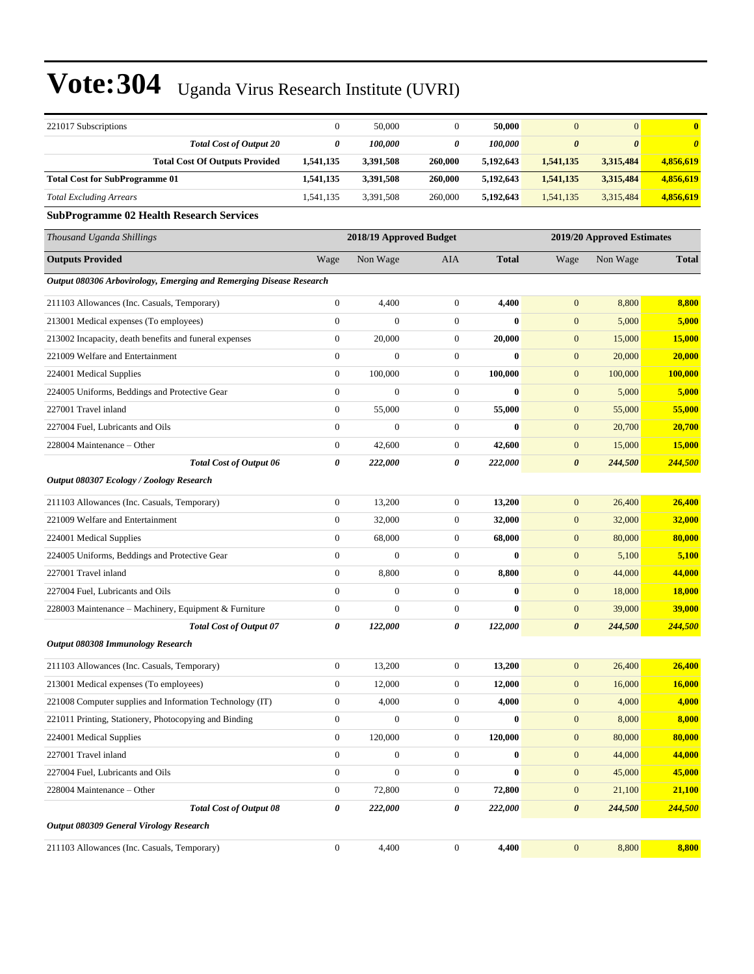| 221017 Subscriptions                                                | $\boldsymbol{0}$ | 50,000                  | $\boldsymbol{0}$ | 50,000       | $\mathbf{0}$          | $\mathbf{0}$               | $\bf{0}$              |
|---------------------------------------------------------------------|------------------|-------------------------|------------------|--------------|-----------------------|----------------------------|-----------------------|
| <b>Total Cost of Output 20</b>                                      | 0                | 100,000                 | 0                | 100,000      | $\boldsymbol{\theta}$ | $\boldsymbol{\theta}$      | $\boldsymbol{\theta}$ |
| <b>Total Cost Of Outputs Provided</b>                               | 1,541,135        | 3,391,508               | 260,000          | 5,192,643    | 1,541,135             | 3,315,484                  | 4,856,619             |
| <b>Total Cost for SubProgramme 01</b>                               | 1,541,135        | 3,391,508               | 260,000          | 5,192,643    | 1,541,135             | 3,315,484                  | 4,856,619             |
| <b>Total Excluding Arrears</b>                                      | 1,541,135        | 3,391,508               | 260,000          | 5,192,643    | 1,541,135             | 3,315,484                  | 4,856,619             |
| <b>SubProgramme 02 Health Research Services</b>                     |                  |                         |                  |              |                       |                            |                       |
| Thousand Uganda Shillings                                           |                  | 2018/19 Approved Budget |                  |              |                       | 2019/20 Approved Estimates |                       |
| <b>Outputs Provided</b>                                             | Wage             | Non Wage                | AIA              | <b>Total</b> | Wage                  | Non Wage                   | <b>Total</b>          |
| Output 080306 Arbovirology, Emerging and Remerging Disease Research |                  |                         |                  |              |                       |                            |                       |
| 211103 Allowances (Inc. Casuals, Temporary)                         | $\boldsymbol{0}$ | 4,400                   | $\boldsymbol{0}$ | 4,400        | $\mathbf{0}$          | 8,800                      | 8,800                 |
| 213001 Medical expenses (To employees)                              | $\mathbf{0}$     | $\boldsymbol{0}$        | $\boldsymbol{0}$ | $\bf{0}$     | $\mathbf{0}$          | 5,000                      | 5,000                 |
| 213002 Incapacity, death benefits and funeral expenses              | $\boldsymbol{0}$ | 20,000                  | $\boldsymbol{0}$ | 20,000       | $\boldsymbol{0}$      | 15,000                     | 15,000                |
| 221009 Welfare and Entertainment                                    | $\mathbf{0}$     | $\mathbf{0}$            | $\boldsymbol{0}$ | $\bf{0}$     | $\boldsymbol{0}$      | 20,000                     | 20,000                |
| 224001 Medical Supplies                                             | $\mathbf{0}$     | 100,000                 | $\boldsymbol{0}$ | 100,000      | $\mathbf{0}$          | 100,000                    | 100,000               |
| 224005 Uniforms, Beddings and Protective Gear                       | $\mathbf{0}$     | $\overline{0}$          | $\boldsymbol{0}$ | $\bf{0}$     | $\mathbf{0}$          | 5,000                      | 5,000                 |
| 227001 Travel inland                                                | $\boldsymbol{0}$ | 55,000                  | $\boldsymbol{0}$ | 55,000       | $\mathbf{0}$          | 55,000                     | 55,000                |
| 227004 Fuel. Lubricants and Oils                                    | $\boldsymbol{0}$ | $\overline{0}$          | $\boldsymbol{0}$ | $\bf{0}$     | $\boldsymbol{0}$      | 20,700                     | 20,700                |
| 228004 Maintenance – Other                                          | $\mathbf{0}$     | 42,600                  | $\boldsymbol{0}$ | 42,600       | $\boldsymbol{0}$      | 15,000                     | <b>15,000</b>         |
| <b>Total Cost of Output 06</b>                                      | 0                | 222,000                 | 0                | 222,000      | $\boldsymbol{\theta}$ | 244,500                    | 244,500               |
| Output 080307 Ecology / Zoology Research                            |                  |                         |                  |              |                       |                            |                       |
| 211103 Allowances (Inc. Casuals, Temporary)                         | $\boldsymbol{0}$ | 13,200                  | $\boldsymbol{0}$ | 13,200       | $\mathbf{0}$          | 26,400                     | 26,400                |
| 221009 Welfare and Entertainment                                    | $\mathbf{0}$     | 32,000                  | $\boldsymbol{0}$ | 32,000       | $\mathbf{0}$          | 32,000                     | 32,000                |
| 224001 Medical Supplies                                             | $\boldsymbol{0}$ | 68,000                  | $\boldsymbol{0}$ | 68,000       | $\mathbf{0}$          | 80,000                     | 80,000                |
| 224005 Uniforms, Beddings and Protective Gear                       | $\mathbf{0}$     | $\overline{0}$          | $\boldsymbol{0}$ | $\bf{0}$     | $\boldsymbol{0}$      | 5,100                      | 5,100                 |
| 227001 Travel inland                                                | $\boldsymbol{0}$ | 8,800                   | $\boldsymbol{0}$ | 8,800        | $\boldsymbol{0}$      | 44,000                     | 44,000                |
| 227004 Fuel, Lubricants and Oils                                    | $\mathbf{0}$     | $\boldsymbol{0}$        | $\boldsymbol{0}$ | $\bf{0}$     | $\mathbf{0}$          | 18,000                     | <b>18,000</b>         |
| 228003 Maintenance – Machinery, Equipment & Furniture               | $\boldsymbol{0}$ | $\overline{0}$          | $\boldsymbol{0}$ | $\bf{0}$     | $\mathbf{0}$          | 39,000                     | 39,000                |
| <b>Total Cost of Output 07</b>                                      | 0                | 122,000                 | 0                | 122,000      | $\boldsymbol{\theta}$ | 244,500                    | 244,500               |
| Output 080308 Immunology Research                                   |                  |                         |                  |              |                       |                            |                       |
| 211103 Allowances (Inc. Casuals, Temporary)                         | $\boldsymbol{0}$ | 13,200                  | $\mathbf{0}$     | 13,200       | $\mathbf{0}$          | 26,400                     | 26,400                |
| 213001 Medical expenses (To employees)                              | $\boldsymbol{0}$ | 12,000                  | 0                | 12,000       | $\mathbf{0}$          | 16,000                     | 16,000                |
| 221008 Computer supplies and Information Technology (IT)            | $\boldsymbol{0}$ | 4,000                   | $\boldsymbol{0}$ | 4,000        | $\boldsymbol{0}$      | 4,000                      | 4,000                 |
| 221011 Printing, Stationery, Photocopying and Binding               | $\boldsymbol{0}$ | $\boldsymbol{0}$        | $\boldsymbol{0}$ | $\bf{0}$     | $\boldsymbol{0}$      | 8,000                      | 8,000                 |
| 224001 Medical Supplies                                             | $\boldsymbol{0}$ | 120,000                 | $\boldsymbol{0}$ | 120,000      | $\mathbf{0}$          | 80,000                     | 80,000                |
| 227001 Travel inland                                                | $\boldsymbol{0}$ | $\boldsymbol{0}$        | $\boldsymbol{0}$ | $\bf{0}$     | $\boldsymbol{0}$      | 44,000                     | 44,000                |
| 227004 Fuel, Lubricants and Oils                                    | $\boldsymbol{0}$ | $\boldsymbol{0}$        | $\boldsymbol{0}$ | $\bf{0}$     | $\mathbf{0}$          | 45,000                     | 45,000                |
| 228004 Maintenance – Other                                          | $\boldsymbol{0}$ | 72,800                  | $\boldsymbol{0}$ | 72,800       | $\boldsymbol{0}$      | 21,100                     | 21,100                |
| <b>Total Cost of Output 08</b>                                      | 0                | 222,000                 | 0                | 222,000      | $\pmb{\theta}$        | 244,500                    | 244,500               |
| Output 080309 General Virology Research                             |                  |                         |                  |              |                       |                            |                       |
| 211103 Allowances (Inc. Casuals, Temporary)                         | $\boldsymbol{0}$ | 4,400                   | $\boldsymbol{0}$ | 4,400        | $\boldsymbol{0}$      | 8,800                      | 8,800                 |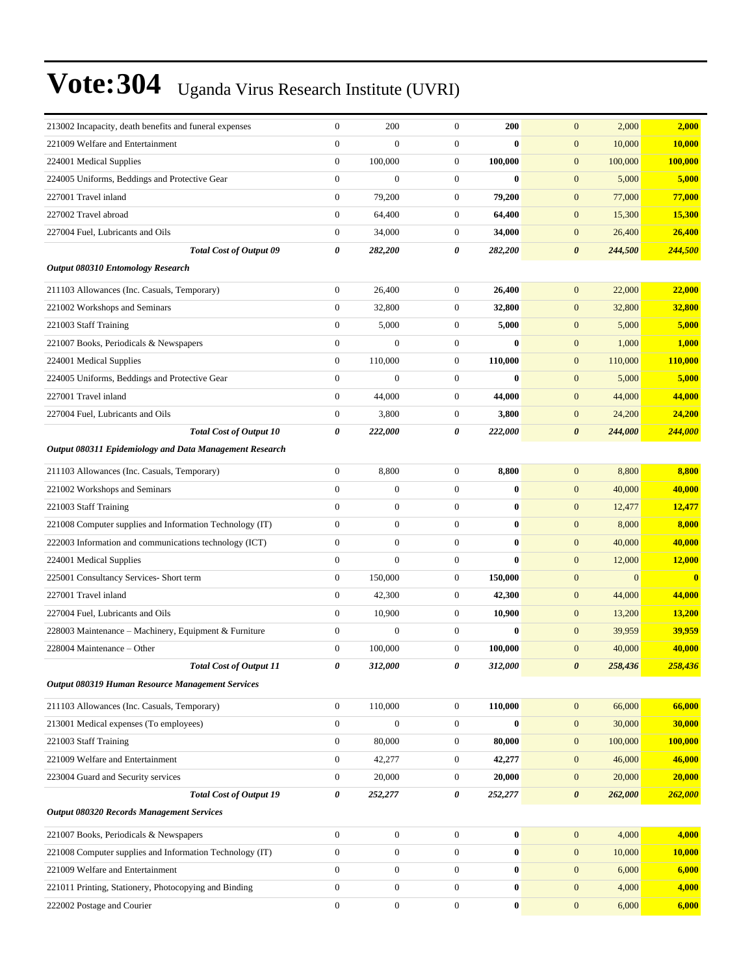| 213002 Incapacity, death benefits and funeral expenses   | $\mathbf{0}$     | 200              | $\boldsymbol{0}$      | 200       | $\mathbf{0}$<br>2,000            | 2,000        |
|----------------------------------------------------------|------------------|------------------|-----------------------|-----------|----------------------------------|--------------|
| 221009 Welfare and Entertainment                         | $\mathbf{0}$     | $\overline{0}$   | $\boldsymbol{0}$      | $\bf{0}$  | $\mathbf{0}$<br>10,000           | 10,000       |
| 224001 Medical Supplies                                  | $\boldsymbol{0}$ | 100,000          | $\boldsymbol{0}$      | 100,000   | $\mathbf{0}$<br>100,000          | 100,000      |
| 224005 Uniforms, Beddings and Protective Gear            | $\boldsymbol{0}$ | $\mathbf{0}$     | $\boldsymbol{0}$      | $\bf{0}$  | $\mathbf{0}$<br>5,000            | 5,000        |
| 227001 Travel inland                                     | $\boldsymbol{0}$ | 79,200           | $\boldsymbol{0}$      | 79,200    | $\mathbf{0}$<br>77,000           | 77,000       |
| 227002 Travel abroad                                     | $\boldsymbol{0}$ | 64,400           | $\boldsymbol{0}$      | 64,400    | $\boldsymbol{0}$<br>15,300       | 15,300       |
| 227004 Fuel, Lubricants and Oils                         | $\boldsymbol{0}$ | 34,000           | $\boldsymbol{0}$      | 34,000    | $\mathbf{0}$<br>26,400           | 26,400       |
| <b>Total Cost of Output 09</b>                           | 0                | 282,200          | $\boldsymbol{\theta}$ | 282,200   | $\boldsymbol{\theta}$<br>244,500 | 244,500      |
| <b>Output 080310 Entomology Research</b>                 |                  |                  |                       |           |                                  |              |
| 211103 Allowances (Inc. Casuals, Temporary)              | $\boldsymbol{0}$ | 26,400           | $\boldsymbol{0}$      | 26,400    | $\mathbf{0}$<br>22,000           | 22,000       |
| 221002 Workshops and Seminars                            | $\boldsymbol{0}$ | 32,800           | $\boldsymbol{0}$      | 32,800    | $\boldsymbol{0}$<br>32,800       | 32,800       |
| 221003 Staff Training                                    | $\mathbf{0}$     | 5,000            | $\boldsymbol{0}$      | 5,000     | $\boldsymbol{0}$<br>5,000        | 5,000        |
| 221007 Books, Periodicals & Newspapers                   | $\mathbf{0}$     | $\theta$         | $\boldsymbol{0}$      | $\bf{0}$  | $\mathbf{0}$<br>1,000            | 1,000        |
| 224001 Medical Supplies                                  | $\boldsymbol{0}$ | 110,000          | $\boldsymbol{0}$      | 110,000   | $\boldsymbol{0}$<br>110,000      | 110,000      |
| 224005 Uniforms, Beddings and Protective Gear            | $\boldsymbol{0}$ | $\mathbf{0}$     | $\boldsymbol{0}$      | $\bf{0}$  | $\boldsymbol{0}$<br>5,000        | 5,000        |
| 227001 Travel inland                                     | $\boldsymbol{0}$ | 44,000           | $\boldsymbol{0}$      | 44,000    | $\boldsymbol{0}$<br>44,000       | 44,000       |
| 227004 Fuel, Lubricants and Oils                         | $\mathbf{0}$     | 3,800            | $\boldsymbol{0}$      | 3,800     | $\boldsymbol{0}$<br>24,200       | 24,200       |
| <b>Total Cost of Output 10</b>                           | 0                | 222,000          | 0                     | 222,000   | $\boldsymbol{\theta}$<br>244,000 | 244,000      |
| Output 080311 Epidemiology and Data Management Research  |                  |                  |                       |           |                                  |              |
| 211103 Allowances (Inc. Casuals, Temporary)              | $\boldsymbol{0}$ | 8,800            | $\boldsymbol{0}$      | 8,800     | $\mathbf{0}$<br>8,800            | 8,800        |
| 221002 Workshops and Seminars                            | $\boldsymbol{0}$ | $\mathbf{0}$     | $\boldsymbol{0}$      | $\bf{0}$  | $\mathbf{0}$<br>40,000           | 40,000       |
| 221003 Staff Training                                    | $\boldsymbol{0}$ | $\boldsymbol{0}$ | $\boldsymbol{0}$      | $\bf{0}$  | $\boldsymbol{0}$<br>12,477       | 12,477       |
| 221008 Computer supplies and Information Technology (IT) | $\boldsymbol{0}$ | $\mathbf{0}$     | $\boldsymbol{0}$      | $\bf{0}$  | $\boldsymbol{0}$<br>8,000        | 8,000        |
| 222003 Information and communications technology (ICT)   | $\boldsymbol{0}$ | $\mathbf{0}$     | $\boldsymbol{0}$      | $\bf{0}$  | $\mathbf{0}$<br>40,000           | 40,000       |
| 224001 Medical Supplies                                  | $\overline{0}$   | $\mathbf{0}$     | $\boldsymbol{0}$      | $\bf{0}$  | $\mathbf{0}$<br>12,000           | 12,000       |
| 225001 Consultancy Services- Short term                  | $\boldsymbol{0}$ | 150,000          | $\boldsymbol{0}$      | 150,000   | $\boldsymbol{0}$<br>$\mathbf{0}$ | $\mathbf{0}$ |
| 227001 Travel inland                                     | $\boldsymbol{0}$ | 42,300           | $\boldsymbol{0}$      | 42,300    | $\mathbf{0}$<br>44,000           | 44,000       |
| 227004 Fuel, Lubricants and Oils                         | $\boldsymbol{0}$ | 10,900           | $\boldsymbol{0}$      | 10,900    | $\boldsymbol{0}$<br>13,200       | 13,200       |
| 228003 Maintenance - Machinery, Equipment & Furniture    | $\boldsymbol{0}$ | $\mathbf{0}$     | $\boldsymbol{0}$      | $\bf{0}$  | $\mathbf{0}$<br>39,959           | 39,959       |
| 228004 Maintenance – Other                               | $\boldsymbol{0}$ | 100,000          | $\boldsymbol{0}$      | 100,000   | $\mathbf{0}$<br>40,000           | 40,000       |
| <b>Total Cost of Output 11</b>                           | 0                | 312,000          | 0                     | 312,000   | $\boldsymbol{\theta}$<br>258,436 | 258,436      |
| Output 080319 Human Resource Management Services         |                  |                  |                       |           |                                  |              |
| 211103 Allowances (Inc. Casuals, Temporary)              | $\boldsymbol{0}$ | 110,000          | $\boldsymbol{0}$      | 110,000   | $\boldsymbol{0}$<br>66,000       | 66,000       |
| 213001 Medical expenses (To employees)                   | $\boldsymbol{0}$ | $\boldsymbol{0}$ | $\boldsymbol{0}$      | $\bf{0}$  | $\boldsymbol{0}$<br>30,000       | 30,000       |
| 221003 Staff Training                                    | $\boldsymbol{0}$ | 80,000           | $\boldsymbol{0}$      | 80,000    | $\boldsymbol{0}$<br>100,000      | 100,000      |
| 221009 Welfare and Entertainment                         | $\mathbf{0}$     | 42,277           | $\boldsymbol{0}$      | 42,277    | 46,000<br>$\mathbf{0}$           | 46,000       |
| 223004 Guard and Security services                       | $\mathbf{0}$     | 20,000           | $\boldsymbol{0}$      | 20,000    | $\mathbf{0}$<br>20,000           | 20,000       |
| <b>Total Cost of Output 19</b>                           | 0                | 252,277          | 0                     | 252,277   | $\boldsymbol{\theta}$<br>262,000 | 262,000      |
| Output 080320 Records Management Services                |                  |                  |                       |           |                                  |              |
| 221007 Books, Periodicals & Newspapers                   | $\boldsymbol{0}$ | $\boldsymbol{0}$ | $\boldsymbol{0}$      | $\bf{0}$  | $\mathbf{0}$<br>4,000            | 4,000        |
| 221008 Computer supplies and Information Technology (IT) | $\boldsymbol{0}$ | $\boldsymbol{0}$ | $\boldsymbol{0}$      | $\bf{0}$  | $\mathbf{0}$<br>10,000           | 10,000       |
| 221009 Welfare and Entertainment                         | $\boldsymbol{0}$ | $\boldsymbol{0}$ | $\boldsymbol{0}$      | $\pmb{0}$ | $\mathbf{0}$<br>6,000            | 6,000        |
| 221011 Printing, Stationery, Photocopying and Binding    | $\boldsymbol{0}$ | $\boldsymbol{0}$ | $\boldsymbol{0}$      | $\bf{0}$  | $\mathbf{0}$<br>4,000            | 4,000        |
| 222002 Postage and Courier                               | $\boldsymbol{0}$ | $\boldsymbol{0}$ | $\boldsymbol{0}$      | $\pmb{0}$ | $\mathbf{0}$<br>6,000            | 6,000        |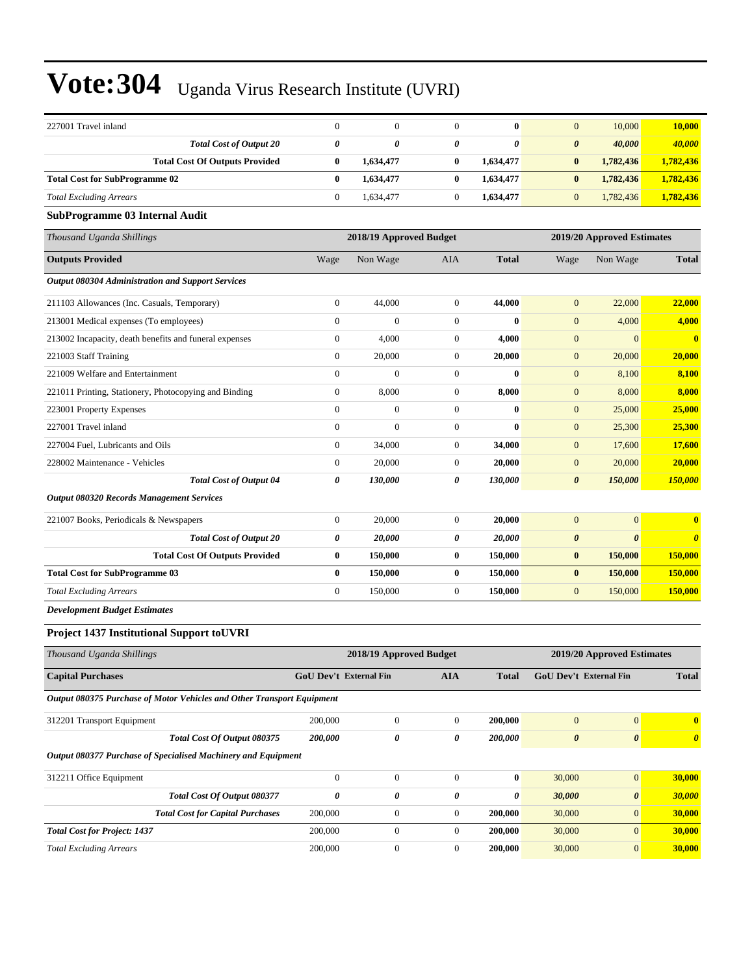| 227001 Travel inland                                                   | $\mathbf{0}$            | $\mathbf{0}$                  | $\mathbf{0}$          | $\bf{0}$     | $\mathbf{0}$               | 10,000                     | 10,000                |  |
|------------------------------------------------------------------------|-------------------------|-------------------------------|-----------------------|--------------|----------------------------|----------------------------|-----------------------|--|
| <b>Total Cost of Output 20</b>                                         | $\boldsymbol{\theta}$   | 0                             | 0                     | $\theta$     | $\boldsymbol{\theta}$      | 40,000                     | 40,000                |  |
| <b>Total Cost Of Outputs Provided</b>                                  | $\bf{0}$                | 1,634,477                     | $\bf{0}$              | 1,634,477    | $\bf{0}$                   | 1,782,436                  | 1,782,436             |  |
| <b>Total Cost for SubProgramme 02</b>                                  | $\bf{0}$                | 1,634,477                     | $\bf{0}$              | 1,634,477    | $\bf{0}$                   | 1,782,436                  | 1,782,436             |  |
| <b>Total Excluding Arrears</b>                                         | $\boldsymbol{0}$        | 1,634,477                     | $\boldsymbol{0}$      | 1,634,477    | $\mathbf{0}$               | 1,782,436                  | 1,782,436             |  |
| <b>SubProgramme 03 Internal Audit</b>                                  |                         |                               |                       |              |                            |                            |                       |  |
| Thousand Uganda Shillings                                              | 2018/19 Approved Budget |                               |                       |              | 2019/20 Approved Estimates |                            |                       |  |
| <b>Outputs Provided</b>                                                | Wage                    | Non Wage                      | AIA                   | <b>Total</b> | Wage                       | Non Wage                   | <b>Total</b>          |  |
| <b>Output 080304 Administration and Support Services</b>               |                         |                               |                       |              |                            |                            |                       |  |
| 211103 Allowances (Inc. Casuals, Temporary)                            | $\boldsymbol{0}$        | 44,000                        | $\theta$              | 44,000       | $\mathbf{0}$               | 22,000                     | 22,000                |  |
| 213001 Medical expenses (To employees)                                 | $\overline{0}$          | $\mathbf{0}$                  | $\mathbf{0}$          | $\bf{0}$     | $\mathbf{0}$               | 4,000                      | 4,000                 |  |
| 213002 Incapacity, death benefits and funeral expenses                 | $\boldsymbol{0}$        | 4,000                         | $\boldsymbol{0}$      | 4,000        | $\boldsymbol{0}$           | $\mathbf{0}$               | $\bf{0}$              |  |
| 221003 Staff Training                                                  | $\boldsymbol{0}$        | 20,000                        | $\boldsymbol{0}$      | 20,000       | $\mathbf{0}$               | 20,000                     | 20,000                |  |
| 221009 Welfare and Entertainment                                       | $\boldsymbol{0}$        | $\mathbf{0}$                  | $\boldsymbol{0}$      | $\bf{0}$     | $\mathbf{0}$               | 8,100                      | 8,100                 |  |
| 221011 Printing, Stationery, Photocopying and Binding                  | $\boldsymbol{0}$        | 8,000                         | $\overline{0}$        | 8,000        | $\mathbf{0}$               | 8,000                      | 8,000                 |  |
| 223001 Property Expenses                                               | $\overline{0}$          | $\mathbf{0}$                  | $\mathbf{0}$          | $\bf{0}$     | $\mathbf{0}$               | 25,000                     | 25,000                |  |
| 227001 Travel inland                                                   | $\boldsymbol{0}$        | $\mathbf{0}$                  | $\boldsymbol{0}$      | $\bf{0}$     | $\mathbf{0}$               | 25,300                     | 25,300                |  |
| 227004 Fuel. Lubricants and Oils                                       | $\boldsymbol{0}$        | 34,000                        | $\boldsymbol{0}$      | 34,000       | $\mathbf{0}$               | 17,600                     | 17,600                |  |
| 228002 Maintenance - Vehicles                                          | $\boldsymbol{0}$        | 20,000                        | $\boldsymbol{0}$      | 20,000       | $\mathbf{0}$               | 20,000                     | 20,000                |  |
| <b>Total Cost of Output 04</b>                                         | 0                       | 130,000                       | 0                     | 130,000      | $\boldsymbol{\theta}$      | 150,000                    | 150,000               |  |
| <b>Output 080320 Records Management Services</b>                       |                         |                               |                       |              |                            |                            |                       |  |
| 221007 Books, Periodicals & Newspapers                                 | $\boldsymbol{0}$        | 20,000                        | $\boldsymbol{0}$      | 20,000       | $\mathbf{0}$               | $\mathbf{0}$               | $\bf{0}$              |  |
| <b>Total Cost of Output 20</b>                                         | 0                       | 20,000                        | $\boldsymbol{\theta}$ | 20,000       | $\boldsymbol{\theta}$      | $\boldsymbol{\theta}$      | $\boldsymbol{\theta}$ |  |
| <b>Total Cost Of Outputs Provided</b>                                  | $\bf{0}$                | 150,000                       | $\bf{0}$              | 150,000      | $\bf{0}$                   | 150,000                    | 150,000               |  |
| <b>Total Cost for SubProgramme 03</b>                                  | $\bf{0}$                | 150,000                       | $\bf{0}$              | 150,000      | $\bf{0}$                   | 150,000                    | 150,000               |  |
| <b>Total Excluding Arrears</b>                                         | $\boldsymbol{0}$        | 150,000                       | $\mathbf{0}$          | 150,000      | $\mathbf{0}$               | 150,000                    | 150,000               |  |
| <b>Development Budget Estimates</b>                                    |                         |                               |                       |              |                            |                            |                       |  |
| <b>Project 1437 Institutional Support to UVRI</b>                      |                         |                               |                       |              |                            |                            |                       |  |
| Thousand Uganda Shillings                                              |                         | 2018/19 Approved Budget       |                       |              |                            | 2019/20 Approved Estimates |                       |  |
| <b>Capital Purchases</b>                                               |                         | <b>GoU Dev't External Fin</b> | <b>AIA</b>            | <b>Total</b> |                            | GoU Dev't External Fin     | <b>Total</b>          |  |
| Output 080375 Purchase of Motor Vehicles and Other Transport Equipment |                         |                               |                       |              |                            |                            |                       |  |
| 312201 Transport Equipment                                             | 200,000                 | $\boldsymbol{0}$              | $\mathbf{0}$          | 200,000      | $\boldsymbol{0}$           | $\boldsymbol{0}$           | $\bf{0}$              |  |
| Total Cost Of Output 080375                                            | 200,000                 | 0                             | 0                     | 200,000      | $\boldsymbol{\theta}$      | $\pmb{\theta}$             | $\boldsymbol{\theta}$ |  |
| Output 080377 Purchase of Specialised Machinery and Equipment          |                         |                               |                       |              |                            |                            |                       |  |
| 312211 Office Equipment                                                | $\boldsymbol{0}$        | $\boldsymbol{0}$              | $\mathbf{0}$          | $\pmb{0}$    | 30,000                     | $\boldsymbol{0}$           | 30,000                |  |
| <b>Total Cost Of Output 080377</b>                                     | 0                       | 0                             | 0                     | 0            | 30,000                     | $\pmb{\theta}$             | 30,000                |  |
| <b>Total Cost for Capital Purchases</b>                                | 200,000                 | $\boldsymbol{0}$              | $\mathbf{0}$          | 200,000      | 30,000                     | $\mathbf{0}$               | 30,000                |  |
| <b>Total Cost for Project: 1437</b>                                    | 200,000                 | $\boldsymbol{0}$              | $\boldsymbol{0}$      | 200,000      | 30,000                     | $\boldsymbol{0}$           | 30,000                |  |
| <b>Total Excluding Arrears</b>                                         | 200,000                 | $\boldsymbol{0}$              | $\boldsymbol{0}$      | 200,000      | 30,000                     | $\boldsymbol{0}$           | 30,000                |  |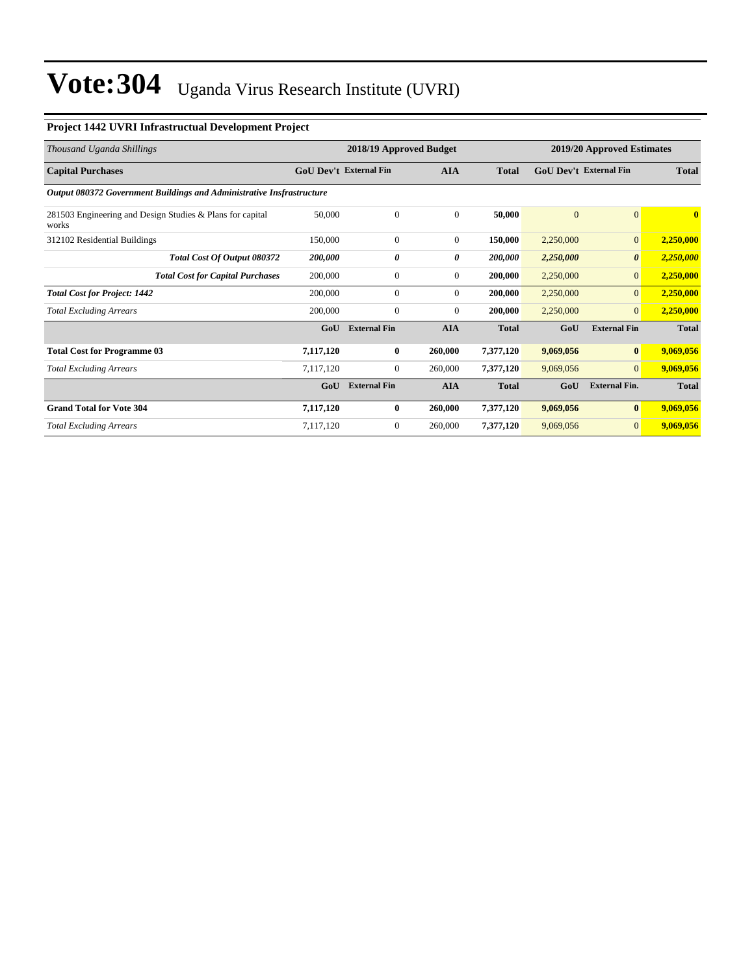#### **Project 1442 UVRI Infrastructual Development Project**

| Thousand Uganda Shillings                                             |                               | 2018/19 Approved Budget |                | 2019/20 Approved Estimates |                               |                       |              |
|-----------------------------------------------------------------------|-------------------------------|-------------------------|----------------|----------------------------|-------------------------------|-----------------------|--------------|
| <b>Capital Purchases</b>                                              | <b>GoU Dev't External Fin</b> |                         | <b>AIA</b>     | <b>Total</b>               | <b>GoU</b> Dev't External Fin |                       | <b>Total</b> |
| Output 080372 Government Buildings and Administrative Insfrastructure |                               |                         |                |                            |                               |                       |              |
| 281503 Engineering and Design Studies & Plans for capital<br>works    | 50,000                        | $\boldsymbol{0}$        | $\theta$       | 50,000                     | $\overline{0}$                | $\mathbf{0}$          | $\bf{0}$     |
| 312102 Residential Buildings                                          | 150,000                       | $\mathbf{0}$            | $\overline{0}$ | 150,000                    | 2,250,000                     | $\overline{0}$        | 2,250,000    |
| Total Cost Of Output 080372                                           | 200,000                       | 0                       | 0              | 200,000                    | 2,250,000                     | $\boldsymbol{\theta}$ | 2,250,000    |
| <b>Total Cost for Capital Purchases</b>                               | 200,000                       | $\boldsymbol{0}$        | $\overline{0}$ | 200,000                    | 2,250,000                     | $\mathbf{0}$          | 2,250,000    |
| <b>Total Cost for Project: 1442</b>                                   | 200,000                       | $\boldsymbol{0}$        | $\overline{0}$ | 200,000                    | 2,250,000                     | $\overline{0}$        | 2,250,000    |
| <b>Total Excluding Arrears</b>                                        | 200,000                       | $\boldsymbol{0}$        | $\overline{0}$ | 200,000                    | 2,250,000                     | $\overline{0}$        | 2,250,000    |
|                                                                       | GoU                           | <b>External Fin</b>     | <b>AIA</b>     | <b>Total</b>               | GoU                           | <b>External Fin</b>   | <b>Total</b> |
| <b>Total Cost for Programme 03</b>                                    | 7,117,120                     | $\bf{0}$                | 260,000        | 7,377,120                  | 9,069,056                     | $\bf{0}$              | 9,069,056    |
| <b>Total Excluding Arrears</b>                                        | 7,117,120                     | $\mathbf{0}$            | 260,000        | 7,377,120                  | 9,069,056                     | $\overline{0}$        | 9,069,056    |
|                                                                       | GoU                           | <b>External Fin</b>     | <b>AIA</b>     | <b>Total</b>               | GoU                           | <b>External Fin.</b>  | <b>Total</b> |
| <b>Grand Total for Vote 304</b>                                       | 7,117,120                     | $\bf{0}$                | 260,000        | 7,377,120                  | 9,069,056                     | $\bf{0}$              | 9,069,056    |
| <b>Total Excluding Arrears</b>                                        | 7,117,120                     | $\mathbf{0}$            | 260,000        | 7,377,120                  | 9,069,056                     | $\overline{0}$        | 9,069,056    |